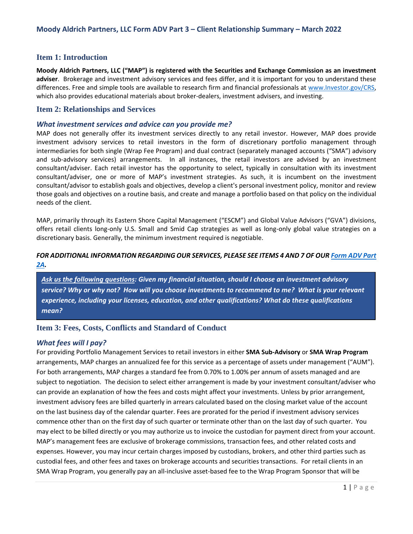# **Item 1: Introduction**

**Moody Aldrich Partners, LLC ("MAP") is registered with the Securities and Exchange Commission as an investment adviser**. Brokerage and investment advisory services and fees differ, and it is important for you to understand these differences. Free and simple tools are available to research firm and financial professionals at [www.Investor.gov/CRS,](https://www.investor.gov/home/welcome-investor-gov-crs) which also provides educational materials about broker-dealers, investment advisers, and investing.

## **Item 2: Relationships and Services**

### *What investment services and advice can you provide me?*

MAP does not generally offer its investment services directly to any retail investor. However, MAP does provide investment advisory services to retail investors in the form of discretionary portfolio management through intermediaries for both single (Wrap Fee Program) and dual contract (separately managed accounts ("SMA") advisory and sub-advisory services) arrangements. In all instances, the retail investors are advised by an investment consultant/adviser. Each retail investor has the opportunity to select, typically in consultation with its investment consultant/adviser, one or more of MAP's investment strategies. As such, it is incumbent on the investment consultant/advisor to establish goals and objectives, develop a client's personal investment policy, monitor and review those goals and objectives on a routine basis, and create and manage a portfolio based on that policy on the individual needs of the client.

MAP, primarily through its Eastern Shore Capital Management ("ESCM") and Global Value Advisors ("GVA") divisions, offers retail clients long-only U.S. Small and Smid Cap strategies as well as long-only global value strategies on a discretionary basis. Generally, the minimum investment required is negotiable.

## *FOR ADDITIONAL INFORMATION REGARDING OUR SERVICES, PLEASE SEE ITEMS 4 AND 7 OF OUR [Form ADV Part](https://adviserinfo.sec.gov/firm/summary/106920)  [2A.](https://adviserinfo.sec.gov/firm/summary/106920)*

*Ask us the following questions: Given my financial situation, should I choose an investment advisory service? Why or why not? How will you choose investments to recommend to me? What is your relevant experience, including your licenses, education, and other qualifications? What do these qualifications mean?* 

# **Item 3: Fees, Costs, Conflicts and Standard of Conduct**

## *What fees will I pay?*

For providing Portfolio Management Services to retail investors in either **SMA Sub-Advisory** or **SMA Wrap Program** arrangements, MAP charges an annualized fee for this service as a percentage of assets under management ("AUM"). For both arrangements, MAP charges a standard fee from 0.70% to 1.00% per annum of assets managed and are subject to negotiation. The decision to select either arrangement is made by your investment consultant/adviser who can provide an explanation of how the fees and costs might affect your investments. Unless by prior arrangement, investment advisory fees are billed quarterly in arrears calculated based on the closing market value of the account on the last business day of the calendar quarter. Fees are prorated for the period if investment advisory services commence other than on the first day of such quarter or terminate other than on the last day of such quarter. You may elect to be billed directly or you may authorize us to invoice the custodian for payment direct from your account. MAP's management fees are exclusive of brokerage commissions, transaction fees, and other related costs and expenses. However, you may incur certain charges imposed by custodians, brokers, and other third parties such as custodial fees, and other fees and taxes on brokerage accounts and securities transactions. For retail clients in an SMA Wrap Program, you generally pay an all-inclusive asset-based fee to the Wrap Program Sponsor that will be